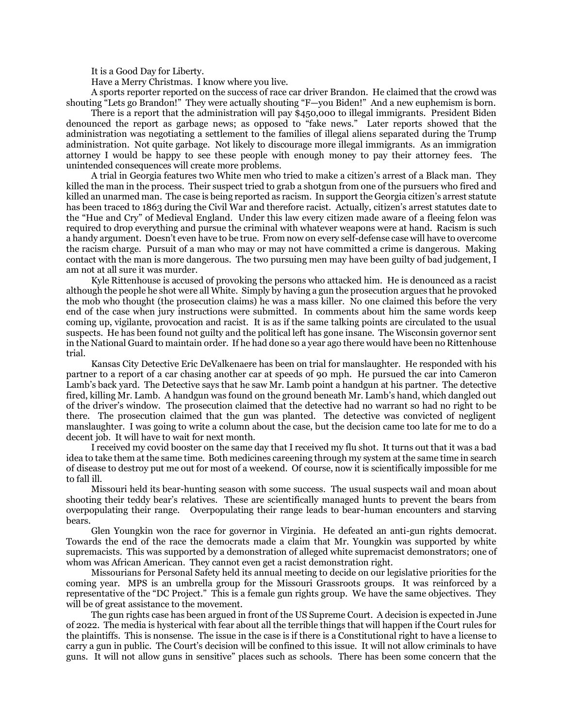It is a Good Day for Liberty.

Have a Merry Christmas. I know where you live.

A sports reporter reported on the success of race car driver Brandon. He claimed that the crowd was shouting "Lets go Brandon!" They were actually shouting "F—you Biden!" And a new euphemism is born.

There is a report that the administration will pay \$450,000 to illegal immigrants. President Biden denounced the report as garbage news; as opposed to "fake news." Later reports showed that the administration was negotiating a settlement to the families of illegal aliens separated during the Trump administration. Not quite garbage. Not likely to discourage more illegal immigrants. As an immigration attorney I would be happy to see these people with enough money to pay their attorney fees. The unintended consequences will create more problems.

A trial in Georgia features two White men who tried to make a citizen's arrest of a Black man. They killed the man in the process. Their suspect tried to grab a shotgun from one of the pursuers who fired and killed an unarmed man. The case is being reported as racism. In support the Georgia citizen's arrest statute has been traced to 1863 during the Civil War and therefore racist. Actually, citizen's arrest statutes date to the "Hue and Cry" of Medieval England. Under this law every citizen made aware of a fleeing felon was required to drop everything and pursue the criminal with whatever weapons were at hand. Racism is such a handy argument. Doesn't even have to be true. From now on every self-defense case will have to overcome the racism charge. Pursuit of a man who may or may not have committed a crime is dangerous. Making contact with the man is more dangerous. The two pursuing men may have been guilty of bad judgement, I am not at all sure it was murder.

Kyle Rittenhouse is accused of provoking the persons who attacked him. He is denounced as a racist although the people he shot were all White. Simply by having a gun the prosecution argues that he provoked the mob who thought (the prosecution claims) he was a mass killer. No one claimed this before the very end of the case when jury instructions were submitted. In comments about him the same words keep coming up, vigilante, provocation and racist. It is as if the same talking points are circulated to the usual suspects. He has been found not guilty and the political left has gone insane. The Wisconsin governor sent in the National Guard to maintain order. If he had done so a year ago there would have been no Rittenhouse trial.

Kansas City Detective Eric DeValkenaere has been on trial for manslaughter. He responded with his partner to a report of a car chasing another car at speeds of 90 mph. He pursued the car into Cameron Lamb's back yard. The Detective says that he saw Mr. Lamb point a handgun at his partner. The detective fired, killing Mr. Lamb. A handgun was found on the ground beneath Mr. Lamb's hand, which dangled out of the driver's window. The prosecution claimed that the detective had no warrant so had no right to be there. The prosecution claimed that the gun was planted. The detective was convicted of negligent manslaughter. I was going to write a column about the case, but the decision came too late for me to do a decent job. It will have to wait for next month.

I received my covid booster on the same day that I received my flu shot. It turns out that it was a bad idea to take them at the same time. Both medicines careening through my system at the same time in search of disease to destroy put me out for most of a weekend. Of course, now it is scientifically impossible for me to fall ill.

Missouri held its bear-hunting season with some success. The usual suspects wail and moan about shooting their teddy bear's relatives. These are scientifically managed hunts to prevent the bears from overpopulating their range. Overpopulating their range leads to bear-human encounters and starving bears.

Glen Youngkin won the race for governor in Virginia. He defeated an anti-gun rights democrat. Towards the end of the race the democrats made a claim that Mr. Youngkin was supported by white supremacists. This was supported by a demonstration of alleged white supremacist demonstrators; one of whom was African American. They cannot even get a racist demonstration right.

Missourians for Personal Safety held its annual meeting to decide on our legislative priorities for the coming year. MPS is an umbrella group for the Missouri Grassroots groups. It was reinforced by a representative of the "DC Project." This is a female gun rights group. We have the same objectives. They will be of great assistance to the movement.

The gun rights case has been argued in front of the US Supreme Court. A decision is expected in June of 2022. The media is hysterical with fear about all the terrible things that will happen if the Court rules for the plaintiffs. This is nonsense. The issue in the case is if there is a Constitutional right to have a license to carry a gun in public. The Court's decision will be confined to this issue. It will not allow criminals to have guns. It will not allow guns in sensitive" places such as schools. There has been some concern that the